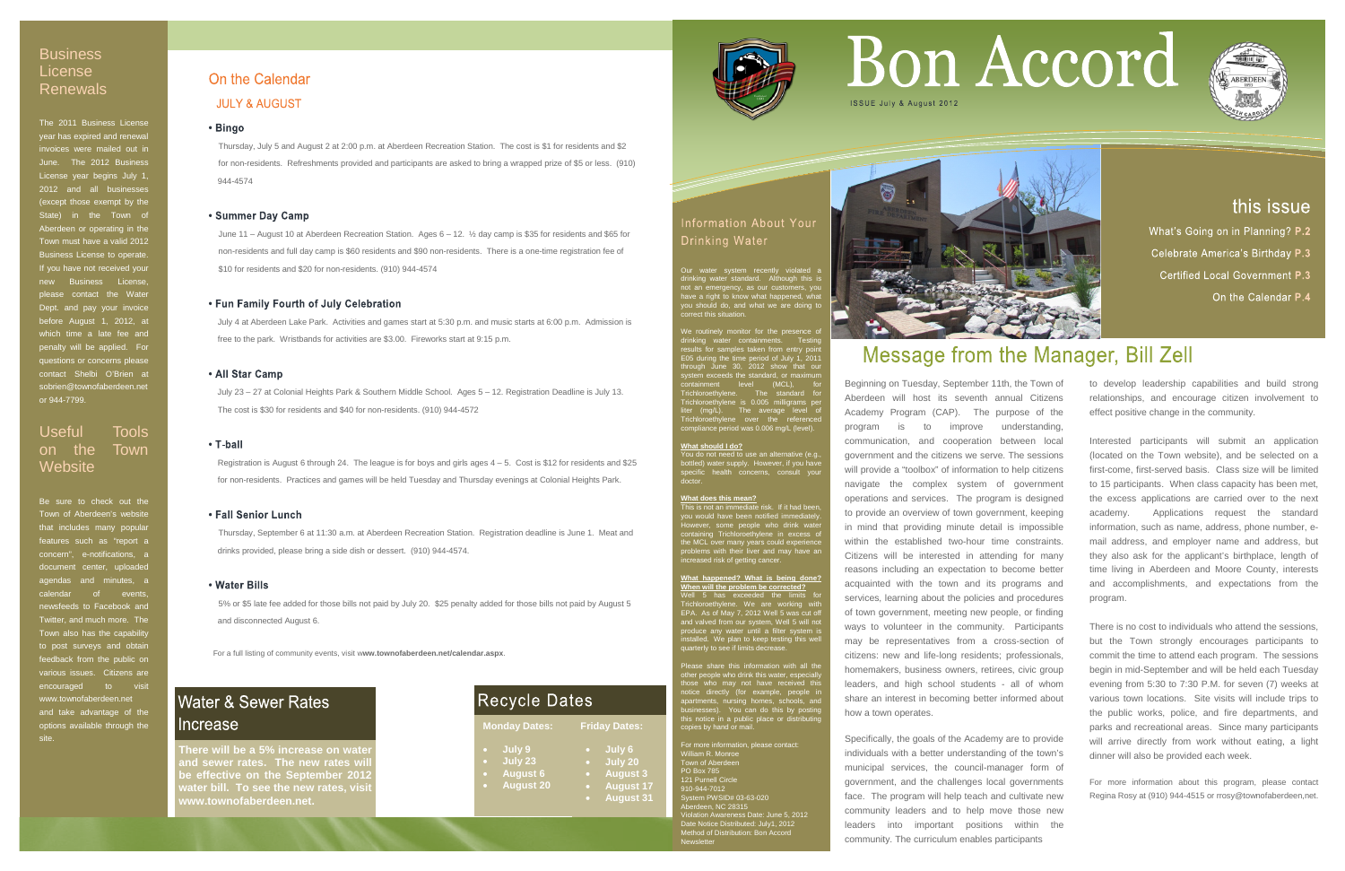For a full listing of community events, visit w**ww.townofaberdeen.net/calendar.aspx**.

## **Water & Sewer Rates** Increase

Thursday, July 5 and August 2 at 2:00 p.m. at Aberdeen Recreation Station. The cost is \$1 for residents and \$2 for non-residents. Refreshments provided and participants are asked to bring a wrapped prize of \$5 or less. (910) 944-4574

### • Summer Day Camp

June 11 – August 10 at Aberdeen Recreation Station. Ages 6 – 12. ½ day camp is \$35 for residents and \$65 for non-residents and full day camp is \$60 residents and \$90 non-residents. There is a one-time registration fee of \$10 for residents and \$20 for non-residents. (910) 944-4574

### • Fun Family Fourth of July Celebration

 July 4 at Aberdeen Lake Park. Activities and games start at 5:30 p.m. and music starts at 6:00 p.m. Admission is free to the park. Wristbands for activities are \$3.00. Fireworks start at 9:15 p.m.

### • All Star Camp

## **Business** License Renewals

July 23 – 27 at Colonial Heights Park & Southern Middle School. Ages 5 – 12. Registration Deadline is July 13. The cost is \$30 for residents and \$40 for non-residents. (910) 944-4572

### • T-ball

## Useful Tools on the Town **Website**

 Registration is August 6 through 24. The league is for boys and girls ages 4 – 5. Cost is \$12 for residents and \$25 for non-residents. Practices and games will be held Tuesday and Thursday evenings at Colonial Heights Park.

### • Fall Senior Lunch

Thursday, September 6 at 11:30 a.m. at Aberdeen Recreation Station. Registration deadline is June 1. Meat and drinks provided, please bring a side dish or dessert. (910) 944-4574.

### • Water Bills

5% or \$5 late fee added for those bills not paid by July 20. \$25 penalty added for those bills not paid by August 5 and disconnected August 6.

The 2011 Business License year has expired and renewal invoices were mailed out in June. The 2012 Busines License year begins July 1, 2012 and all businesses (except those exempt by the State) in the Town of Aberdeen or operating in the Town must have a valid 2012 Business License to operate. If you have not received your new Business License, please contact the Water Dept. and pay your invoice before August 1, 2012, at which time a late fee and penalty will be applied. For questions or concerns please contact Shelbi O'Brien at sobrien@townofaberdeen.net or 944-7799.

Be sure to check out the Town of Aberdeen's website that includes many popular features such as "report a concern", e-notifications, a document center, uploaded agendas and minutes, a calendar of events, newsfeeds to Facebook and Twitter, and much more. The Town also has the capability to post surveys and obtain feedback from the public on various issues. Citizens are encouraged to visit www.townofaberdeen.net and take advantage of the options available through the site.

## On the Calendar

## **JULY & AUGUST**

### • Bingo

Our water system recently violated a drinking water standard. Although this is not an emergency, as our customers, you have a right to know what happened, what you should do, and what we are doing to correct this situation.

We routinely monitor for the presence of drinking water containments. Testing results for samples taken from entry point E05 during the time period of July 1, 2011 through June 30, 2012 show that our system exceeds the standard, or maximum containment level (MCL), for Trichloroethylene. The standard for Trichloroethylene is 0.005 milligrams per liter (mg/L). The average level of Trichloroethylene over the referenced compliance period was 0.006 mg/L (level).

### **What should I do?**

You do not need to use an alternative (e.g., bottled) water supply. However, if you have specific health concerns, consult your doctor.

### **What does this mean?**

This is not an immediate risk. If it had been, you would have been notified immediately. Hould have been notified immediate<br>ever, some people who drink water<br>ining Trinklass that containing Trichloroethylene in excess of the MCL over many years could experience problems with their liver and may have an increased risk of getting cancer.

### **Recycle Dates Monday Dates: Friday Dates:** • **July 9** • **July 6** • **July 23** • **July 20** • **August 6** • **August 3**

**There will be a 5% increase on wate nd sewer rates. The new rates will be effective on the September 2012 water bill. To see the new rates, vis www.townofaberdeen.net.**

**What happened? What is being done? When will the problem be corrected?** Well 5 has exceeded the limits for Trichloroethylene. We are working with EPA. As of May 7, 2012 Well 5 was cut off and valved from our system, Well 5 will not produce any water until a filter system is installed. We plan to keep testing this well quarterly to see if limits decrease.

Please share this information with all the other people who drink this water, especially those who may not have received this notice directly (for example, people in apartments, nursing homes, schools, and businesses). You can do this by posting this notice in a public place or distributing copies by hand or mail.

For more information, please contact: William R. Monroe Town of Aberdeen PO Box 785 121 Purnell Circle 910-944-7012 System PWSID# 03-63-020 Aberdeen, NC 28315 Violation Awareness Date: June 5, 2012 Date Notice Distributed: July1, 2012 Method of Distribution: Bon Accord Newsletter



Beginning on Tuesday, September 11th, the Town of Aberdeen will host its seventh annual Citizens Academy Program (CAP). The purpose of the program is to improve understanding, communication, and cooperation between local government and the citizens we serve. The sessions will provide a "toolbox" of information to help citizens navigate the complex system of government operations and services. The program is designed to provide an overview of town government, keeping in mind that providing minute detail is impossible within the established two-hour time constraints. Citizens will be interested in attending for many reasons including an expectation to become better acquainted with the town and its programs and services, learning about the policies and procedures of town government, meeting new people, or finding ways to volunteer in the community. Participants may be representatives from a cross-section of citizens: new and life-long residents; professionals, homemakers, business owners, retirees, civic group leaders, and high school students - all of whom share an interest in becoming better informed about how a town operates.

Specifically, the goals of the Academy are to provide individuals with a better understanding of the town's municipal services, the council-manager form of government, and the challenges local governments face. The program will help teach and cultivate new community leaders and to help move those new leaders into important positions within the community. The curriculum enables participants

# Bon Accord



## this issue

What's Going on in Planning? P.2

Celebrate America's Birthday P.3

**Certified Local Government P.3** 

On the Calendar P.4

## Message from the Manager, Bill Zell

to develop leadership capabilities and build strong relationships, and encourage citizen involvement to effect positive change in the community.

Interested participants will submit an application (located on the Town website), and be selected on a first-come, first-served basis. Class size will be limited to 15 participants. When class capacity has been met, the excess applications are carried over to the next academy. Applications request the standard information, such as name, address, phone number, email address, and employer name and address, but they also ask for the applicant's birthplace, length of time living in Aberdeen and Moore County, interests and accomplishments, and expectations from the program.

There is no cost to individuals who attend the sessions, but the Town strongly encourages participants to commit the time to attend each program. The sessions begin in mid-September and will be held each Tuesday evening from 5:30 to 7:30 P.M. for seven (7) weeks at various town locations. Site visits will include trips to the public works, police, and fire departments, and parks and recreational areas. Since many participants will arrive directly from work without eating, a light dinner will also be provided each week.

For more information about this program, please contact Regina Rosy at (910) 944-4515 or rrosy@townofaberdeen,net.







## **Information About Your** Drinking Water